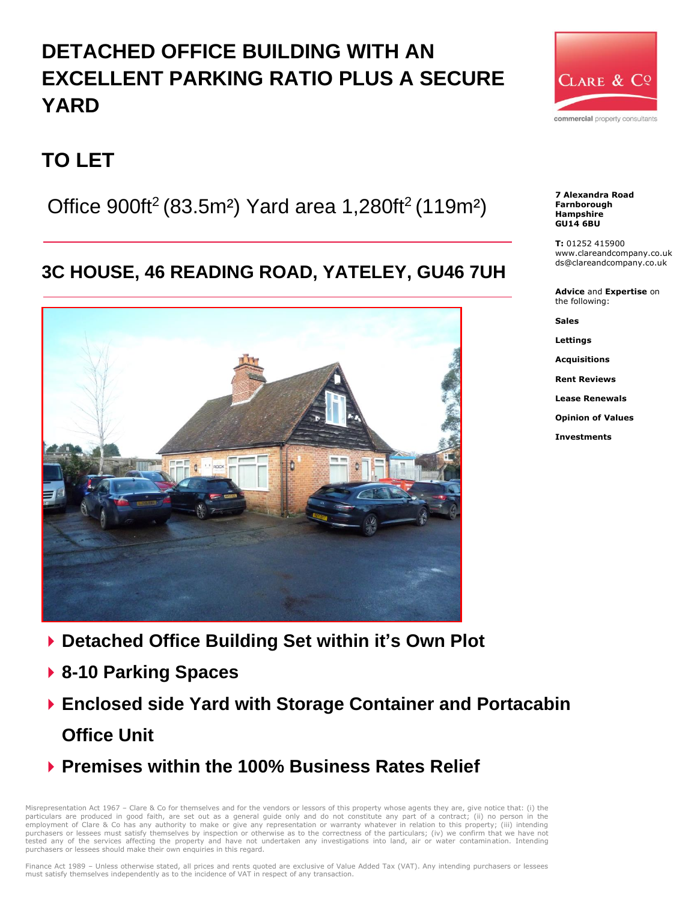# **DETACHED OFFICE BUILDING WITH AN EXCELLENT PARKING RATIO PLUS A SECURE YARD**



## **TO LET**

Office  $900$ ft<sup>2</sup> (83.5m<sup>2</sup>) Yard area 1,280ft<sup>2</sup> (119m<sup>2</sup>)

### **3C HOUSE, 46 READING ROAD, YATELEY, GU46 7UH**



- **Detached Office Building Set within it's Own Plot**
- **8-10 Parking Spaces**
- **Enclosed side Yard with Storage Container and Portacabin Office Unit**
- **Premises within the 100% Business Rates Relief**

Misrepresentation Act 1967 – Clare & Co for themselves and for the vendors or lessors of this property whose agents they are, give notice that: (i) the particulars are produced in good faith, are set out as a general guide only and do not constitute any part of a contract; (ii) no person in the employment of Clare & Co has any authority to make or give any representation or warranty whatever in relation to this property; (iii) intending<br>purchasers or lessees must satisfy themselves by inspection or otherwise as t tested any of the services affecting the property and have not undertaken any investigations into land, air or water contamination. Intending purchasers or lessees should make their own enquiries in this regard.

Finance Act 1989 - Unless otherwise stated, all prices and rents quoted are exclusive of Value Added Tax (VAT). Any intending purchasers or lessees must satisfy themselves independently as to the incidence of VAT in respect of any transaction.



**T:** 01252 415900 www.clareandcompany.co.uk ds@clareandcompany.co.uk

**Advice** and **Expertise** on the following:

**Sales**

**Lettings**

**Acquisitions**

**Rent Reviews**

**Lease Renewals**

**Opinion of Values**

**Investments**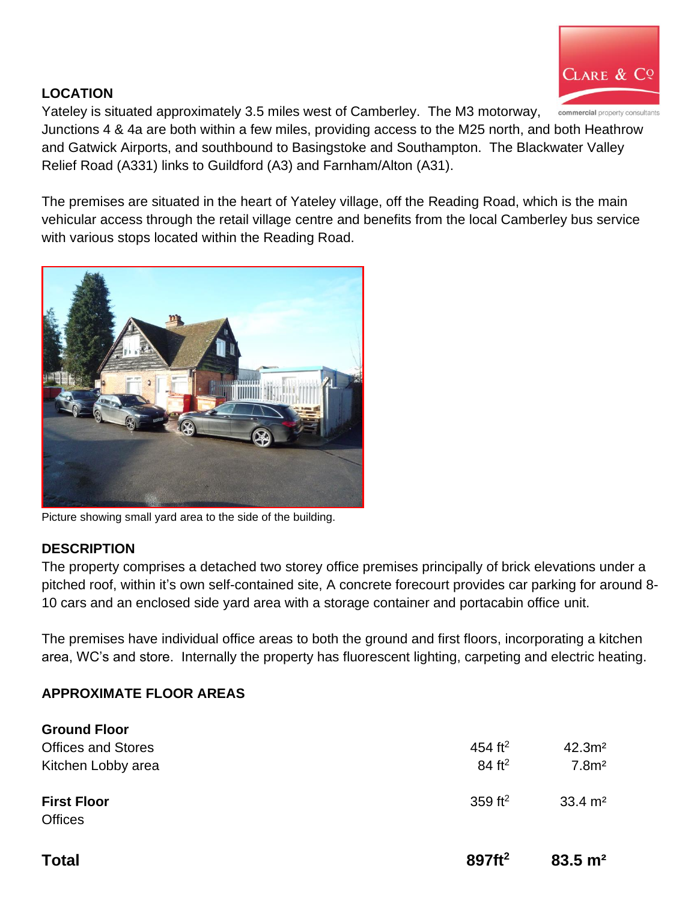

#### **LOCATION**

Yateley is situated approximately 3.5 miles west of Camberley. The M3 motorway,

Junctions 4 & 4a are both within a few miles, providing access to the M25 north, and both Heathrow and Gatwick Airports, and southbound to Basingstoke and Southampton. The Blackwater Valley Relief Road (A331) links to Guildford (A3) and Farnham/Alton (A31).

The premises are situated in the heart of Yateley village, off the Reading Road, which is the main vehicular access through the retail village centre and benefits from the local Camberley bus service with various stops located within the Reading Road.



Picture showing small yard area to the side of the building.

#### **DESCRIPTION**

The property comprises a detached two storey office premises principally of brick elevations under a pitched roof, within it's own self-contained site, A concrete forecourt provides car parking for around 8- 10 cars and an enclosed side yard area with a storage container and portacabin office unit.

The premises have individual office areas to both the ground and first floors, incorporating a kitchen area, WC's and store. Internally the property has fluorescent lighting, carpeting and electric heating.

#### **APPROXIMATE FLOOR AREAS**

| <b>First Floor</b> | 359 ft <sup>2</sup> | $33.4 \text{ m}^2$ |
|--------------------|---------------------|--------------------|
|                    |                     |                    |
|                    |                     |                    |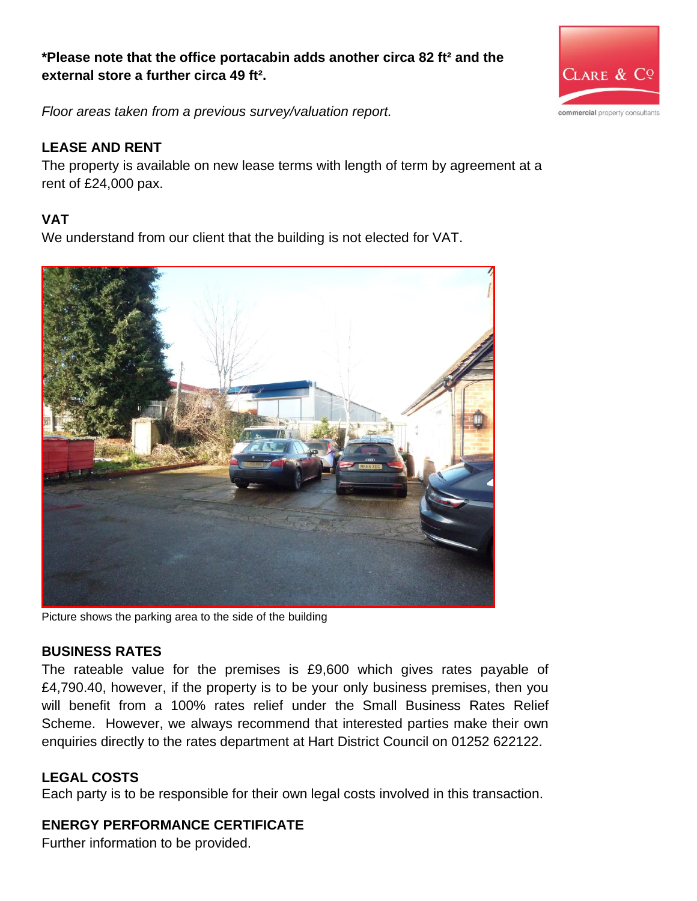#### **\*Please note that the office portacabin adds another circa 82 ft² and the external store a further circa 49 ft².**



*Floor areas taken from a previous survey/valuation report.*

#### **LEASE AND RENT**

The property is available on new lease terms with length of term by agreement at a rent of £24,000 pax.

#### **VAT**

We understand from our client that the building is not elected for VAT.



Picture shows the parking area to the side of the building

#### **BUSINESS RATES**

The rateable value for the premises is £9,600 which gives rates payable of £4,790.40, however, if the property is to be your only business premises, then you will benefit from a 100% rates relief under the Small Business Rates Relief Scheme. However, we always recommend that interested parties make their own enquiries directly to the rates department at Hart District Council on 01252 622122.

#### **LEGAL COSTS**

Each party is to be responsible for their own legal costs involved in this transaction.

#### **ENERGY PERFORMANCE CERTIFICATE**

Further information to be provided.